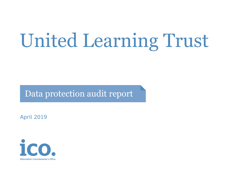# United Learning Trust

Data protection audit report

April 2019

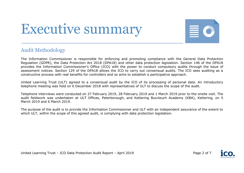## Executive summary



#### Audit Methodology

The Information Commissioner is responsible for enforcing and promoting compliance with the General Data Protection Regulation (GDPR), the Data Protection Act 2018 (DPA18) and other data protection legislation. Section 146 of the DPA18 provides the Information Commissioner's Office (ICO) with the power to conduct compulsory audits through the issue of assessment notices. Section 129 of the DPA18 allows the ICO to carry out consensual audits. The ICO sees auditing as a constructive process with real benefits for controllers and so aims to establish a participative approach.

United Learning Trust (ULT) agreed to a consensual audit by the ICO of its processing of personal data. An introductory telephone meeting was held on 6 December 2018 with representatives of ULT to discuss the scope of the audit.

Telephone interviews were conducted on 27 February 2019, 28 February 2019 and 1 March 2019 prior to the onsite visit. The audit fieldwork was undertaken at ULT Offices, Peterborough, and Kettering Buccleuch Academy (KBA), Kettering, on 5 March 2019 and 6 March 2019.

The purpose of the audit is to provide the Information Commissioner and ULT with an independent assurance of the extent to which ULT, within the scope of this agreed audit, is complying with data protection legislation.

United Learning Trust - ICO Data Protection Audit Report - April 2019 Page 2 of 7

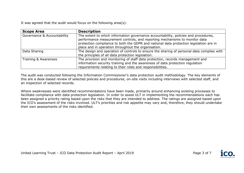It was agreed that the audit would focus on the following area(s):

| <b>Scope Area</b>           | <b>Description</b>                                                                                                                                                                                                                                                                                                 |  |
|-----------------------------|--------------------------------------------------------------------------------------------------------------------------------------------------------------------------------------------------------------------------------------------------------------------------------------------------------------------|--|
| Governance & Accountability | The extent to which information governance accountability, policies and procedures,<br>performance measurement controls, and reporting mechanisms to monitor data<br>protection compliance to both the GDPR and national data protection legislation are in<br>place and in operation throughout the organisation. |  |
| Data Sharing                | The design and operation of controls to ensure the sharing of personal data complies with<br>the principles of all data protection legislation.                                                                                                                                                                    |  |
| Training & Awareness        | The provision and monitoring of staff data protection, records management and<br>information security training and the awareness of data protection regulation<br>requirements relating to their roles and responsibilities.                                                                                       |  |

The audit was conducted following the Information Commissioner's data protection audit methodology. The key elements of this are a desk-based review of selected policies and procedures, on-site visits including interviews with selected staff, and an inspection of selected records.

Where weaknesses were identified recommendations have been made, primarily around enhancing existing processes to facilitate compliance with data protection legislation. In order to assist ULT in implementing the recommendations each has been assigned a priority rating based upon the risks that they are intended to address. The ratings are assigned based upon the ICO's assessment of the risks involved. ULT's priorities and risk appetite may vary and, therefore, they should undertake their own assessments of the risks identified.

United Learning Trust – ICO Data Protection Audit Report – April 2019

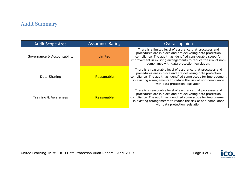### Audit Summary

| <b>Audit Scope Area</b>     | <b>Assurance Rating</b> | Overall opinion                                                                                                                                                                                                                                                                                          |
|-----------------------------|-------------------------|----------------------------------------------------------------------------------------------------------------------------------------------------------------------------------------------------------------------------------------------------------------------------------------------------------|
| Governance & Accountability | Limited                 | There is a limited level of assurance that processes and<br>procedures are in place and are delivering data protection<br>compliance. The audit has identified considerable scope for<br>improvement in existing arrangements to reduce the risk of non-<br>compliance with data protection legislation. |
| Data Sharing                | Reasonable              | There is a reasonable level of assurance that processes and<br>procedures are in place and are delivering data protection<br>compliance. The audit has identified some scope for improvement<br>in existing arrangements to reduce the risk of non-compliance<br>with data protection legislation.       |
| Training & Awareness        | Reasonable              | There is a reasonable level of assurance that processes and<br>procedures are in place and are delivering data protection<br>compliance. The audit has identified some scope for improvement<br>in existing arrangements to reduce the risk of non-compliance<br>with data protection legislation.       |

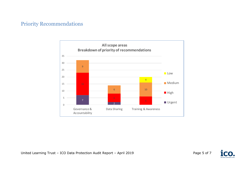#### Priority Recommendations





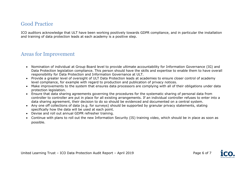#### Good Practice

ICO auditors acknowledge that ULT have been working positively towards GDPR compliance, and in particular the installation and training of data protection leads at each academy is a positive step.

#### Areas for Improvement

- Nomination of individual at Group Board level to provide ultimate accountability for Information Governance (IG) and Data Protection legislation compliance. This person should have the skills and expertise to enable them to have overall responsibility for Data Protection and Information Governance at ULT.
- Provide a greater level of oversight of ULT Data Protection leads at academies to ensure closer control of academy level compliance, for example with regard to production and publication of privacy notices.
- Make improvements to the system that ensures data processors are complying with all of their obligations under data protection legislation.
- Ensure that data sharing agreements governing the procedures for the systematic sharing of personal data from controller to controller are put in place for all existing arrangements. If an individual controller refuses to enter into a data sharing agreement, their decision to do so should be evidenced and documented on a central system.
- Any one off collections of data (e.g. for surveys) should be supported by granular privacy statements, stating specifically how the data will be used at each point.
- Devise and roll out annual GDPR refresher training.
- Continue with plans to roll out the new Information Security (IS) training video, which should be in place as soon as possible.